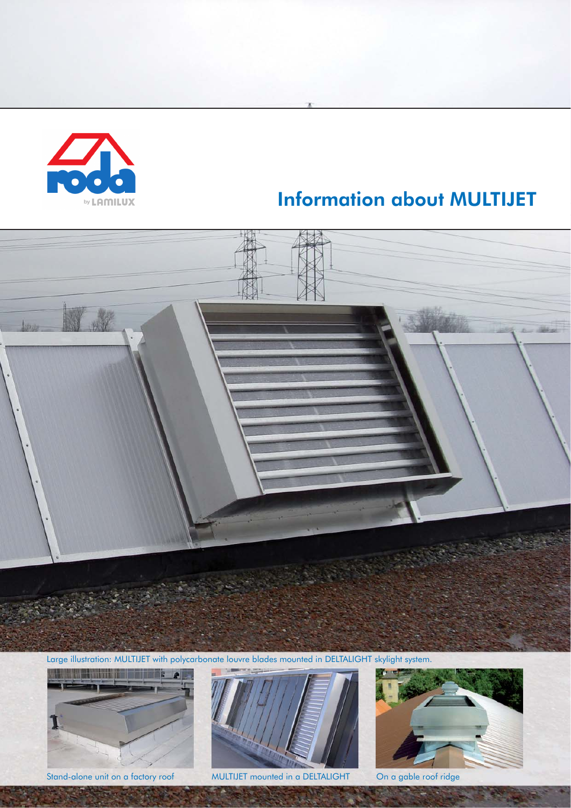

# Information about MULTIJET



Large illustration: MULTIJET with polycarbonate louvre blades mounted in DELTALIGHT skylight system.





Stand-alone unit on a factory roof MULTIJET mounted in a DELTALIGHT On a gable roof ridge

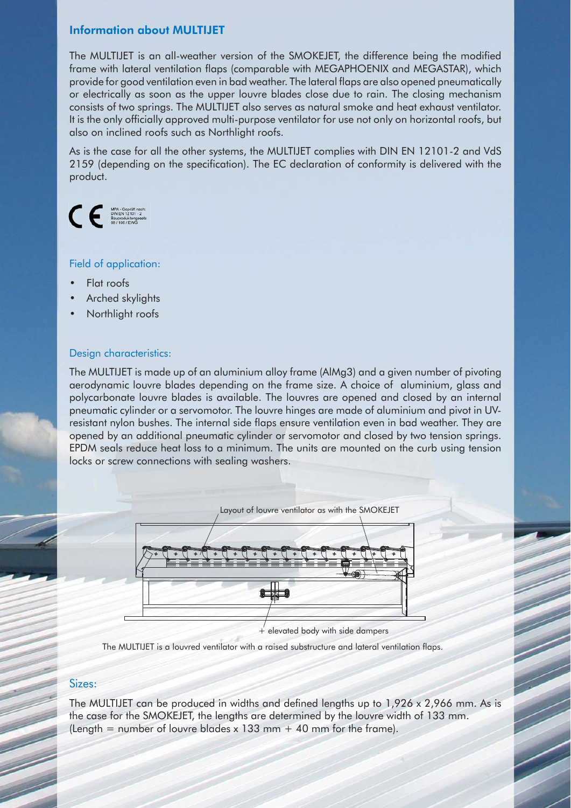### Information about MULTIJET

The MULTIJET is an all-weather version of the SMOKEJET, the difference being the modified frame with lateral ventilation flaps (comparable with MEGAPHOENIX and MEGASTAR), which provide for good ventilation even in bad weather. The lateral flaps are also opened pneumatically or electrically as soon as the upper louvre blades close due to rain. The closing mechanism consists of two springs. The MULTIJET also serves as natural smoke and heat exhaust ventilator. It is the only officially approved multi-purpose ventilator for use not only on horizontal roofs, but also on inclined roofs such as Northlight roofs.

As is the case for all the other systems, the MULTIJET complies with DIN EN 12101-2 and VdS 2159 (depending on the specification). The EC declaration of conformity is delivered with the product.



#### Field of application:

- Flat roofs
- Arched skylights
- Northlight roofs

#### Design characteristics:

The MULTIJET is made up of an aluminium alloy frame (AlMg3) and a given number of pivoting aerodynamic louvre blades depending on the frame size. A choice of aluminium, glass and polycarbonate louvre blades is available. The louvres are opened and closed by an internal pneumatic cylinder or a servomotor. The louvre hinges are made of aluminium and pivot in UVresistant nylon bushes. The internal side flaps ensure ventilation even in bad weather. They are opened by an additional pneumatic cylinder or servomotor and closed by two tension springs. EPDM seals reduce heat loss to a minimum. The units are mounted on the curb using tension locks or screw connections with sealing washers.



The MULTIJET is a louvred ventilator with a raised substructure and lateral ventilation flaps.

#### Sizes:

The MULTIJET can be produced in widths and defined lengths up to  $1,926 \times 2,966$  mm. As is the case for the SMOKEJET, the lengths are determined by the louvre width of 133 mm. (Length = number of louvre blades x 133 mm  $+$  40 mm for the frame).